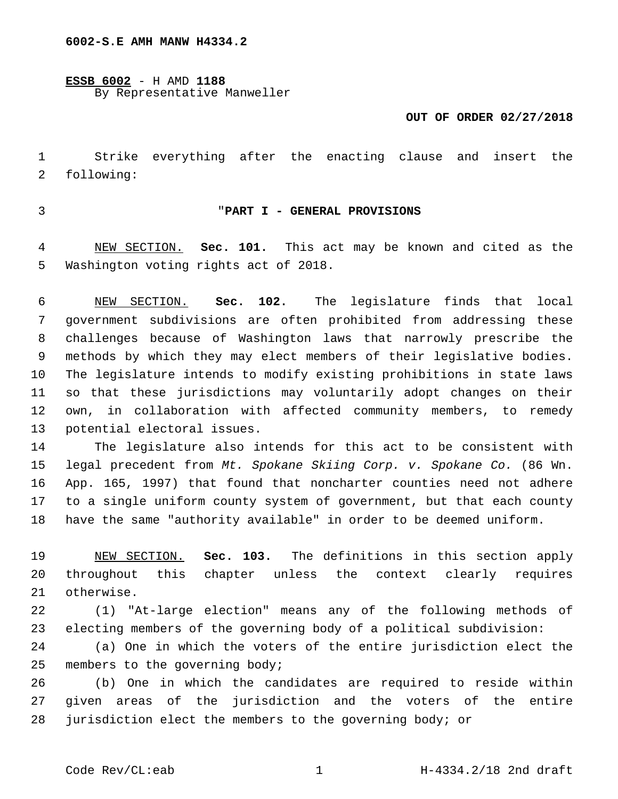**ESSB 6002** - H AMD **1188** By Representative Manweller

### **OUT OF ORDER 02/27/2018**

 Strike everything after the enacting clause and insert the 2 following:

# "**PART I - GENERAL PROVISIONS**

 NEW SECTION. **Sec. 101.** This act may be known and cited as the Washington voting rights act of 2018.

 NEW SECTION. **Sec. 102.** The legislature finds that local government subdivisions are often prohibited from addressing these challenges because of Washington laws that narrowly prescribe the methods by which they may elect members of their legislative bodies. The legislature intends to modify existing prohibitions in state laws so that these jurisdictions may voluntarily adopt changes on their own, in collaboration with affected community members, to remedy potential electoral issues.

 The legislature also intends for this act to be consistent with legal precedent from *Mt. Spokane Skiing Corp. v. Spokane Co.* (86 Wn. App. 165, 1997) that found that noncharter counties need not adhere to a single uniform county system of government, but that each county have the same "authority available" in order to be deemed uniform.

 NEW SECTION. **Sec. 103.** The definitions in this section apply throughout this chapter unless the context clearly requires otherwise.

 (1) "At-large election" means any of the following methods of electing members of the governing body of a political subdivision:

 (a) One in which the voters of the entire jurisdiction elect the 25 members to the governing body;

 (b) One in which the candidates are required to reside within given areas of the jurisdiction and the voters of the entire jurisdiction elect the members to the governing body; or

Code Rev/CL:eab 1 1 H-4334.2/18 2nd draft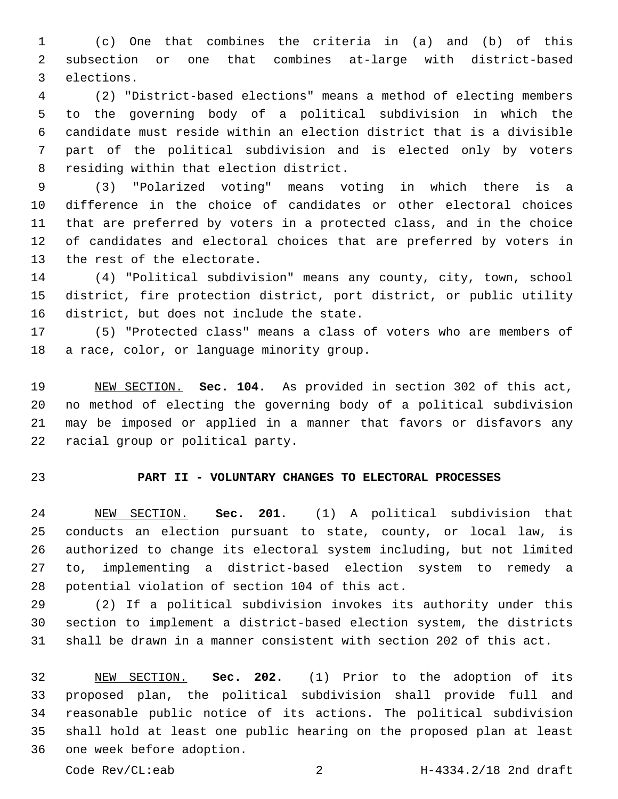(c) One that combines the criteria in (a) and (b) of this subsection or one that combines at-large with district-based 3 elections.

 (2) "District-based elections" means a method of electing members to the governing body of a political subdivision in which the candidate must reside within an election district that is a divisible part of the political subdivision and is elected only by voters 8 residing within that election district.

 (3) "Polarized voting" means voting in which there is a difference in the choice of candidates or other electoral choices that are preferred by voters in a protected class, and in the choice of candidates and electoral choices that are preferred by voters in 13 the rest of the electorate.

 (4) "Political subdivision" means any county, city, town, school district, fire protection district, port district, or public utility 16 district, but does not include the state.

 (5) "Protected class" means a class of voters who are members of 18 a race, color, or language minority group.

 NEW SECTION. **Sec. 104.** As provided in section 302 of this act, no method of electing the governing body of a political subdivision may be imposed or applied in a manner that favors or disfavors any racial group or political party.

# **PART II - VOLUNTARY CHANGES TO ELECTORAL PROCESSES**

 NEW SECTION. **Sec. 201.** (1) A political subdivision that conducts an election pursuant to state, county, or local law, is authorized to change its electoral system including, but not limited to, implementing a district-based election system to remedy a potential violation of section 104 of this act.

 (2) If a political subdivision invokes its authority under this section to implement a district-based election system, the districts shall be drawn in a manner consistent with section 202 of this act.

 NEW SECTION. **Sec. 202.** (1) Prior to the adoption of its proposed plan, the political subdivision shall provide full and reasonable public notice of its actions. The political subdivision shall hold at least one public hearing on the proposed plan at least one week before adoption.

Code Rev/CL:eab 2 H-4334.2/18 2nd draft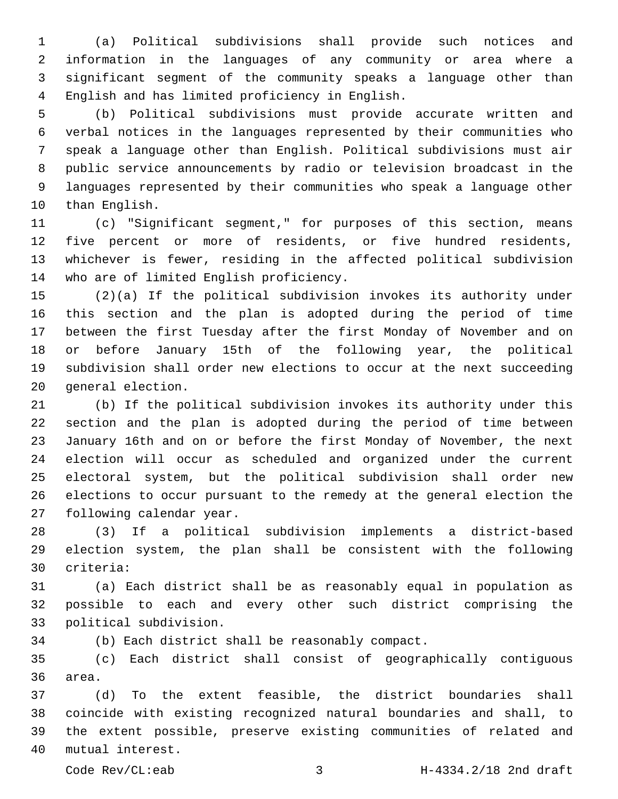(a) Political subdivisions shall provide such notices and information in the languages of any community or area where a significant segment of the community speaks a language other than English and has limited proficiency in English.4

 (b) Political subdivisions must provide accurate written and verbal notices in the languages represented by their communities who speak a language other than English. Political subdivisions must air public service announcements by radio or television broadcast in the languages represented by their communities who speak a language other 10 than English.

 (c) "Significant segment," for purposes of this section, means five percent or more of residents, or five hundred residents, whichever is fewer, residing in the affected political subdivision 14 who are of limited English proficiency.

 (2)(a) If the political subdivision invokes its authority under this section and the plan is adopted during the period of time between the first Tuesday after the first Monday of November and on or before January 15th of the following year, the political subdivision shall order new elections to occur at the next succeeding 20 general election.

 (b) If the political subdivision invokes its authority under this section and the plan is adopted during the period of time between January 16th and on or before the first Monday of November, the next election will occur as scheduled and organized under the current electoral system, but the political subdivision shall order new elections to occur pursuant to the remedy at the general election the 27 following calendar year.

 (3) If a political subdivision implements a district-based election system, the plan shall be consistent with the following 30 criteria:

 (a) Each district shall be as reasonably equal in population as possible to each and every other such district comprising the 33 political subdivision.

(b) Each district shall be reasonably compact.

 (c) Each district shall consist of geographically contiguous 36 area.

 (d) To the extent feasible, the district boundaries shall coincide with existing recognized natural boundaries and shall, to the extent possible, preserve existing communities of related and 40 mutual interest.

Code Rev/CL:eab 3 H-4334.2/18 2nd draft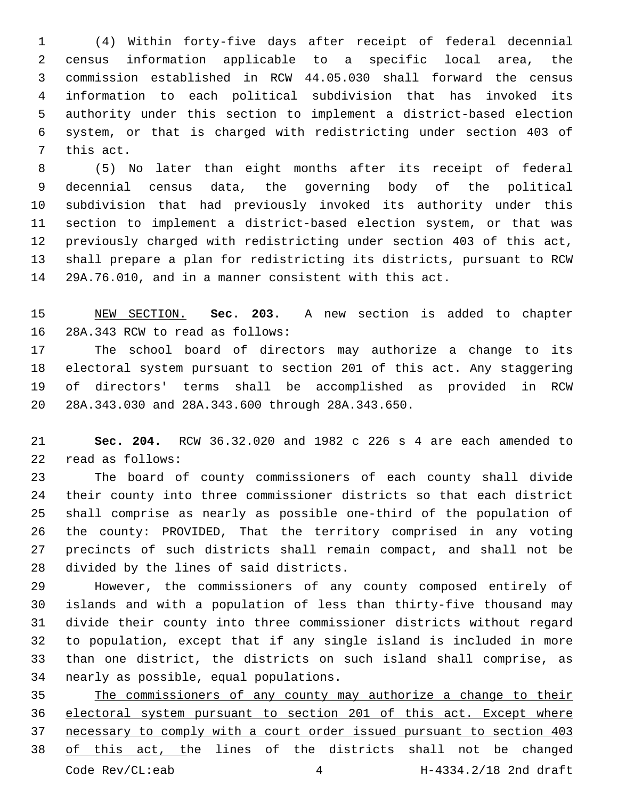(4) Within forty-five days after receipt of federal decennial census information applicable to a specific local area, the commission established in RCW 44.05.030 shall forward the census information to each political subdivision that has invoked its authority under this section to implement a district-based election system, or that is charged with redistricting under section 403 of 7 this act.

 (5) No later than eight months after its receipt of federal decennial census data, the governing body of the political subdivision that had previously invoked its authority under this section to implement a district-based election system, or that was previously charged with redistricting under section 403 of this act, shall prepare a plan for redistricting its districts, pursuant to RCW 29A.76.010, and in a manner consistent with this act.

 NEW SECTION. **Sec. 203.** A new section is added to chapter 16 28A.343 RCW to read as follows:

 The school board of directors may authorize a change to its electoral system pursuant to section 201 of this act. Any staggering of directors' terms shall be accomplished as provided in RCW 20 28A.343.030 and 28A.343.600 through 28A.343.650.

 **Sec. 204.** RCW 36.32.020 and 1982 c 226 s 4 are each amended to 22 read as follows:

 The board of county commissioners of each county shall divide their county into three commissioner districts so that each district shall comprise as nearly as possible one-third of the population of the county: PROVIDED, That the territory comprised in any voting precincts of such districts shall remain compact, and shall not be 28 divided by the lines of said districts.

 However, the commissioners of any county composed entirely of islands and with a population of less than thirty-five thousand may divide their county into three commissioner districts without regard to population, except that if any single island is included in more than one district, the districts on such island shall comprise, as 34 nearly as possible, equal populations.

 The commissioners of any county may authorize a change to their electoral system pursuant to section 201 of this act. Except where necessary to comply with a court order issued pursuant to section 403 of this act, the lines of the districts shall not be changed Code Rev/CL:eab H-4334.2/18 2nd draft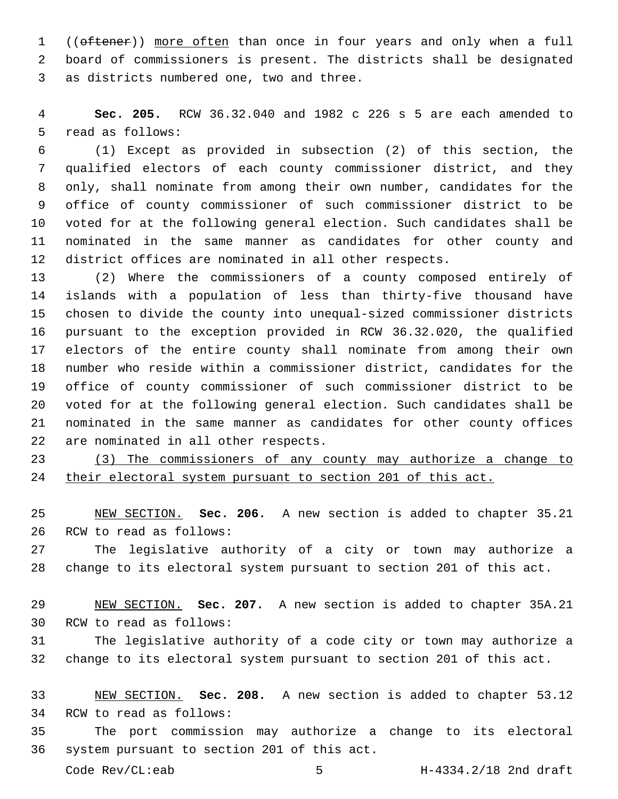1 ((oftener)) more often than once in four years and only when a full board of commissioners is present. The districts shall be designated 3 as districts numbered one, two and three.

 **Sec. 205.** RCW 36.32.040 and 1982 c 226 s 5 are each amended to 5 read as follows:

 (1) Except as provided in subsection (2) of this section, the qualified electors of each county commissioner district, and they only, shall nominate from among their own number, candidates for the office of county commissioner of such commissioner district to be voted for at the following general election. Such candidates shall be nominated in the same manner as candidates for other county and district offices are nominated in all other respects.

 (2) Where the commissioners of a county composed entirely of islands with a population of less than thirty-five thousand have chosen to divide the county into unequal-sized commissioner districts pursuant to the exception provided in RCW 36.32.020, the qualified electors of the entire county shall nominate from among their own number who reside within a commissioner district, candidates for the office of county commissioner of such commissioner district to be voted for at the following general election. Such candidates shall be nominated in the same manner as candidates for other county offices 22 are nominated in all other respects.

 (3) The commissioners of any county may authorize a change to their electoral system pursuant to section 201 of this act.

 NEW SECTION. **Sec. 206.** A new section is added to chapter 35.21 26 RCW to read as follows:

 The legislative authority of a city or town may authorize a change to its electoral system pursuant to section 201 of this act.

 NEW SECTION. **Sec. 207.** A new section is added to chapter 35A.21 30 RCW to read as follows:

 The legislative authority of a code city or town may authorize a change to its electoral system pursuant to section 201 of this act.

 NEW SECTION. **Sec. 208.** A new section is added to chapter 53.12 34 RCW to read as follows:

 The port commission may authorize a change to its electoral 36 system pursuant to section 201 of this act.

Code Rev/CL:eab 5 H-4334.2/18 2nd draft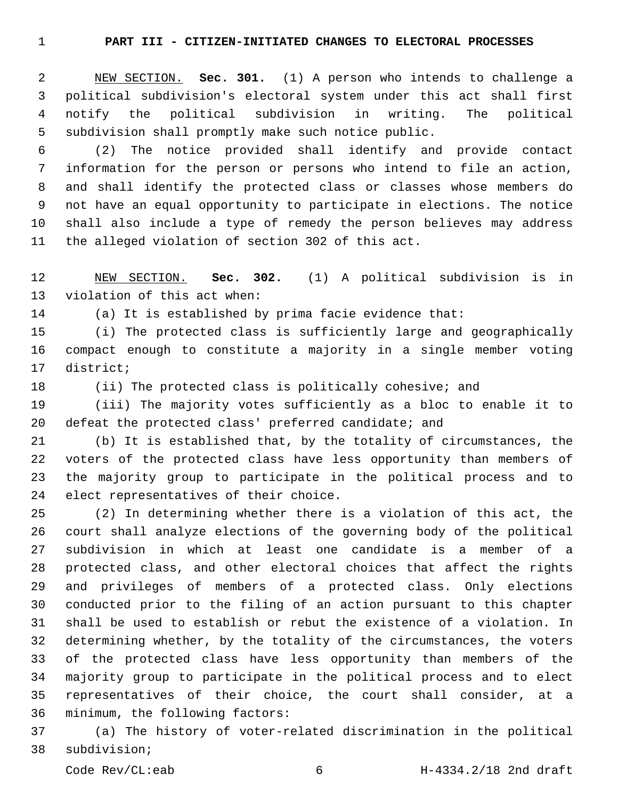**PART III - CITIZEN-INITIATED CHANGES TO ELECTORAL PROCESSES**

 NEW SECTION. **Sec. 301.** (1) A person who intends to challenge a political subdivision's electoral system under this act shall first notify the political subdivision in writing. The political subdivision shall promptly make such notice public.

 (2) The notice provided shall identify and provide contact information for the person or persons who intend to file an action, and shall identify the protected class or classes whose members do not have an equal opportunity to participate in elections. The notice shall also include a type of remedy the person believes may address 11 the alleged violation of section 302 of this act.

 NEW SECTION. **Sec. 302.** (1) A political subdivision is in violation of this act when:

(a) It is established by prima facie evidence that:

 (i) The protected class is sufficiently large and geographically compact enough to constitute a majority in a single member voting 17 district;

(ii) The protected class is politically cohesive; and

 (iii) The majority votes sufficiently as a bloc to enable it to defeat the protected class' preferred candidate; and

 (b) It is established that, by the totality of circumstances, the voters of the protected class have less opportunity than members of the majority group to participate in the political process and to 24 elect representatives of their choice.

 (2) In determining whether there is a violation of this act, the court shall analyze elections of the governing body of the political subdivision in which at least one candidate is a member of a protected class, and other electoral choices that affect the rights and privileges of members of a protected class. Only elections conducted prior to the filing of an action pursuant to this chapter shall be used to establish or rebut the existence of a violation. In determining whether, by the totality of the circumstances, the voters of the protected class have less opportunity than members of the majority group to participate in the political process and to elect representatives of their choice, the court shall consider, at a 36 minimum, the following factors:

 (a) The history of voter-related discrimination in the political 38 subdivision;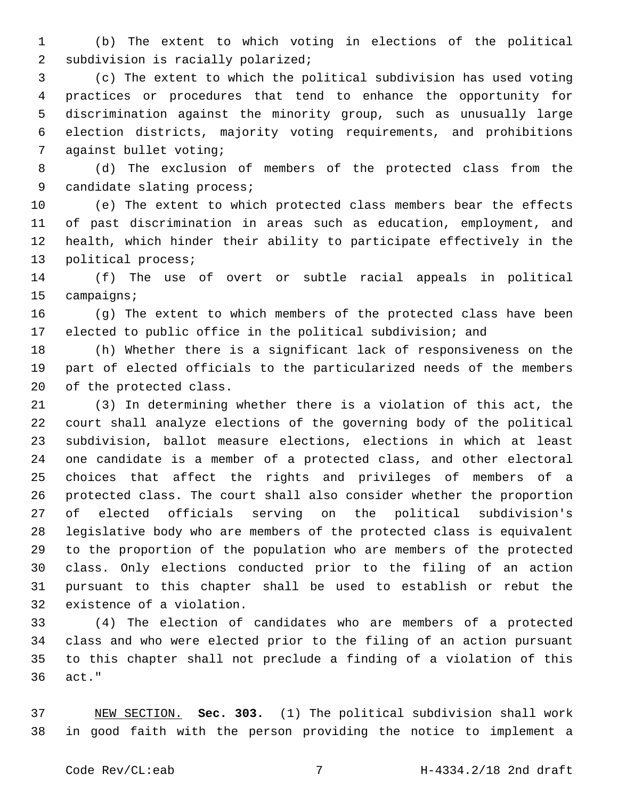(b) The extent to which voting in elections of the political 2 subdivision is racially polarized;

 (c) The extent to which the political subdivision has used voting practices or procedures that tend to enhance the opportunity for discrimination against the minority group, such as unusually large election districts, majority voting requirements, and prohibitions 7 against bullet voting;

 (d) The exclusion of members of the protected class from the 9 candidate slating process;

 (e) The extent to which protected class members bear the effects of past discrimination in areas such as education, employment, and health, which hinder their ability to participate effectively in the 13 political process;

 (f) The use of overt or subtle racial appeals in political 15 campaigns;

 (g) The extent to which members of the protected class have been elected to public office in the political subdivision; and

 (h) Whether there is a significant lack of responsiveness on the part of elected officials to the particularized needs of the members 20 of the protected class.

 (3) In determining whether there is a violation of this act, the court shall analyze elections of the governing body of the political subdivision, ballot measure elections, elections in which at least one candidate is a member of a protected class, and other electoral choices that affect the rights and privileges of members of a protected class. The court shall also consider whether the proportion of elected officials serving on the political subdivision's legislative body who are members of the protected class is equivalent to the proportion of the population who are members of the protected class. Only elections conducted prior to the filing of an action pursuant to this chapter shall be used to establish or rebut the 32 existence of a violation.

 (4) The election of candidates who are members of a protected class and who were elected prior to the filing of an action pursuant to this chapter shall not preclude a finding of a violation of this act."36

 NEW SECTION. **Sec. 303.** (1) The political subdivision shall work in good faith with the person providing the notice to implement a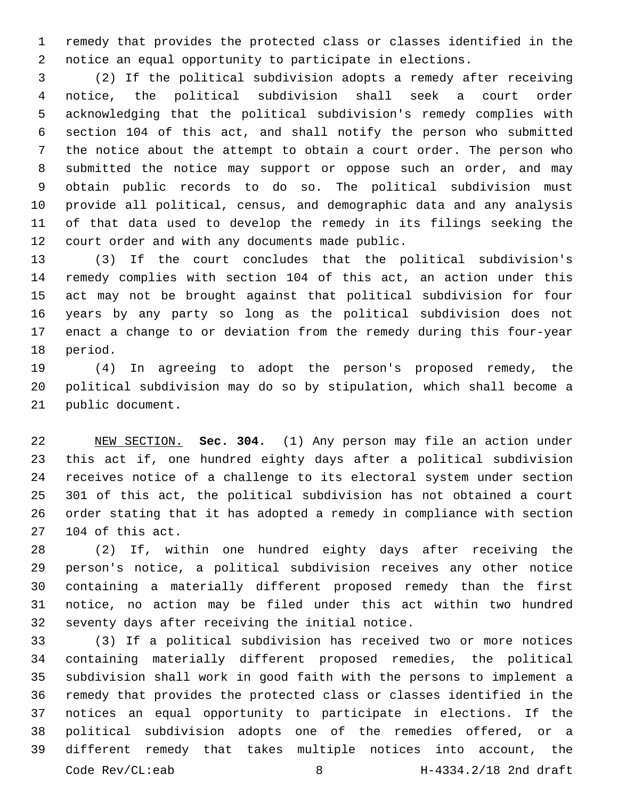remedy that provides the protected class or classes identified in the notice an equal opportunity to participate in elections.

 (2) If the political subdivision adopts a remedy after receiving notice, the political subdivision shall seek a court order acknowledging that the political subdivision's remedy complies with section 104 of this act, and shall notify the person who submitted the notice about the attempt to obtain a court order. The person who submitted the notice may support or oppose such an order, and may obtain public records to do so. The political subdivision must provide all political, census, and demographic data and any analysis of that data used to develop the remedy in its filings seeking the 12 court order and with any documents made public.

 (3) If the court concludes that the political subdivision's remedy complies with section 104 of this act, an action under this act may not be brought against that political subdivision for four years by any party so long as the political subdivision does not enact a change to or deviation from the remedy during this four-year 18 period.

 (4) In agreeing to adopt the person's proposed remedy, the political subdivision may do so by stipulation, which shall become a 21 public document.

 NEW SECTION. **Sec. 304.** (1) Any person may file an action under this act if, one hundred eighty days after a political subdivision receives notice of a challenge to its electoral system under section 301 of this act, the political subdivision has not obtained a court order stating that it has adopted a remedy in compliance with section 104 of this act.

 (2) If, within one hundred eighty days after receiving the person's notice, a political subdivision receives any other notice containing a materially different proposed remedy than the first notice, no action may be filed under this act within two hundred 32 seventy days after receiving the initial notice.

 (3) If a political subdivision has received two or more notices containing materially different proposed remedies, the political subdivision shall work in good faith with the persons to implement a remedy that provides the protected class or classes identified in the notices an equal opportunity to participate in elections. If the political subdivision adopts one of the remedies offered, or a different remedy that takes multiple notices into account, the Code Rev/CL:eab 8 H-4334.2/18 2nd draft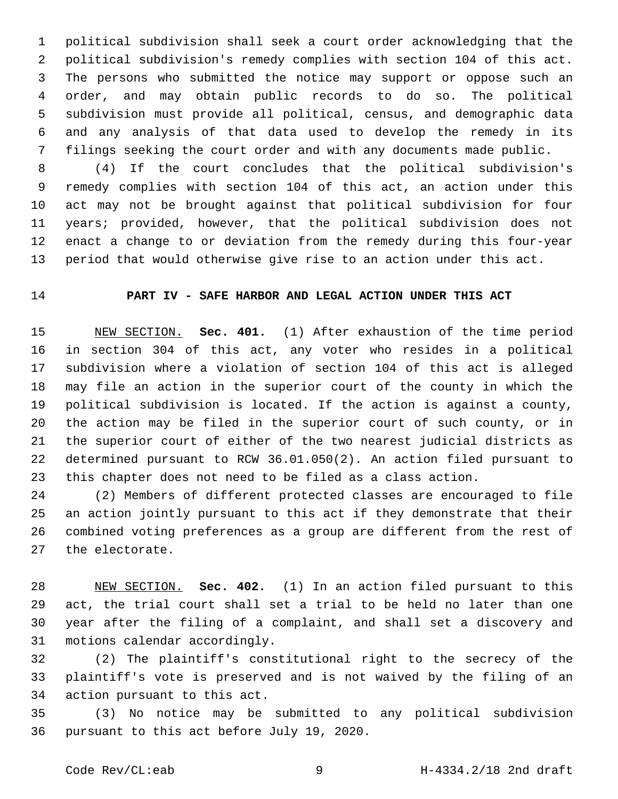political subdivision shall seek a court order acknowledging that the political subdivision's remedy complies with section 104 of this act. The persons who submitted the notice may support or oppose such an order, and may obtain public records to do so. The political subdivision must provide all political, census, and demographic data and any analysis of that data used to develop the remedy in its filings seeking the court order and with any documents made public.

 (4) If the court concludes that the political subdivision's remedy complies with section 104 of this act, an action under this act may not be brought against that political subdivision for four years; provided, however, that the political subdivision does not enact a change to or deviation from the remedy during this four-year period that would otherwise give rise to an action under this act.

### **PART IV - SAFE HARBOR AND LEGAL ACTION UNDER THIS ACT**

 NEW SECTION. **Sec. 401.** (1) After exhaustion of the time period in section 304 of this act, any voter who resides in a political subdivision where a violation of section 104 of this act is alleged may file an action in the superior court of the county in which the political subdivision is located. If the action is against a county, the action may be filed in the superior court of such county, or in the superior court of either of the two nearest judicial districts as determined pursuant to RCW 36.01.050(2). An action filed pursuant to this chapter does not need to be filed as a class action.

 (2) Members of different protected classes are encouraged to file an action jointly pursuant to this act if they demonstrate that their combined voting preferences as a group are different from the rest of 27 the electorate.

 NEW SECTION. **Sec. 402.** (1) In an action filed pursuant to this act, the trial court shall set a trial to be held no later than one year after the filing of a complaint, and shall set a discovery and motions calendar accordingly.

 (2) The plaintiff's constitutional right to the secrecy of the plaintiff's vote is preserved and is not waived by the filing of an 34 action pursuant to this act.

 (3) No notice may be submitted to any political subdivision 36 pursuant to this act before July 19, 2020.

Code Rev/CL:eab 9 H-4334.2/18 2nd draft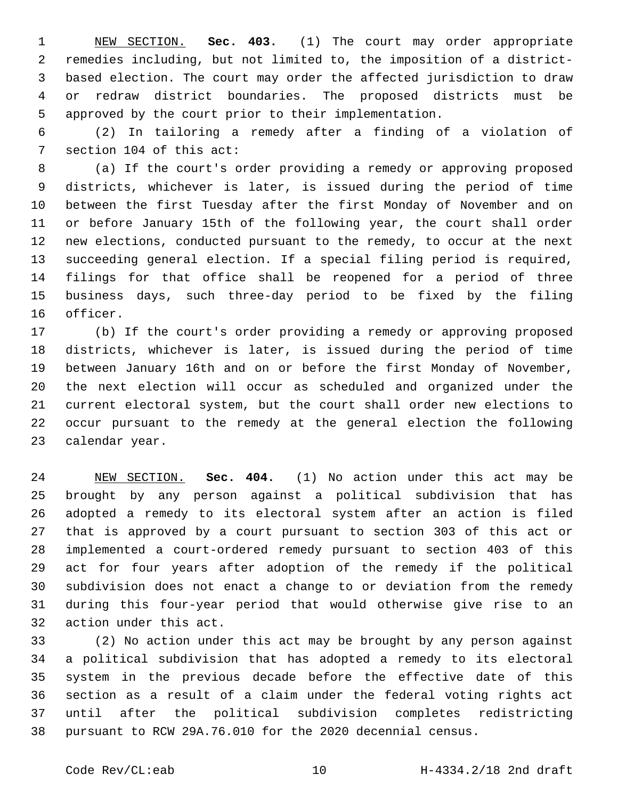NEW SECTION. **Sec. 403.** (1) The court may order appropriate remedies including, but not limited to, the imposition of a district- based election. The court may order the affected jurisdiction to draw or redraw district boundaries. The proposed districts must be approved by the court prior to their implementation.

 (2) In tailoring a remedy after a finding of a violation of 7 section 104 of this act:

 (a) If the court's order providing a remedy or approving proposed districts, whichever is later, is issued during the period of time between the first Tuesday after the first Monday of November and on or before January 15th of the following year, the court shall order new elections, conducted pursuant to the remedy, to occur at the next succeeding general election. If a special filing period is required, filings for that office shall be reopened for a period of three business days, such three-day period to be fixed by the filing 16 officer.

 (b) If the court's order providing a remedy or approving proposed districts, whichever is later, is issued during the period of time between January 16th and on or before the first Monday of November, the next election will occur as scheduled and organized under the current electoral system, but the court shall order new elections to occur pursuant to the remedy at the general election the following 23 calendar year.

 NEW SECTION. **Sec. 404.** (1) No action under this act may be brought by any person against a political subdivision that has adopted a remedy to its electoral system after an action is filed that is approved by a court pursuant to section 303 of this act or implemented a court-ordered remedy pursuant to section 403 of this act for four years after adoption of the remedy if the political subdivision does not enact a change to or deviation from the remedy during this four-year period that would otherwise give rise to an action under this act.

 (2) No action under this act may be brought by any person against a political subdivision that has adopted a remedy to its electoral system in the previous decade before the effective date of this section as a result of a claim under the federal voting rights act until after the political subdivision completes redistricting pursuant to RCW 29A.76.010 for the 2020 decennial census.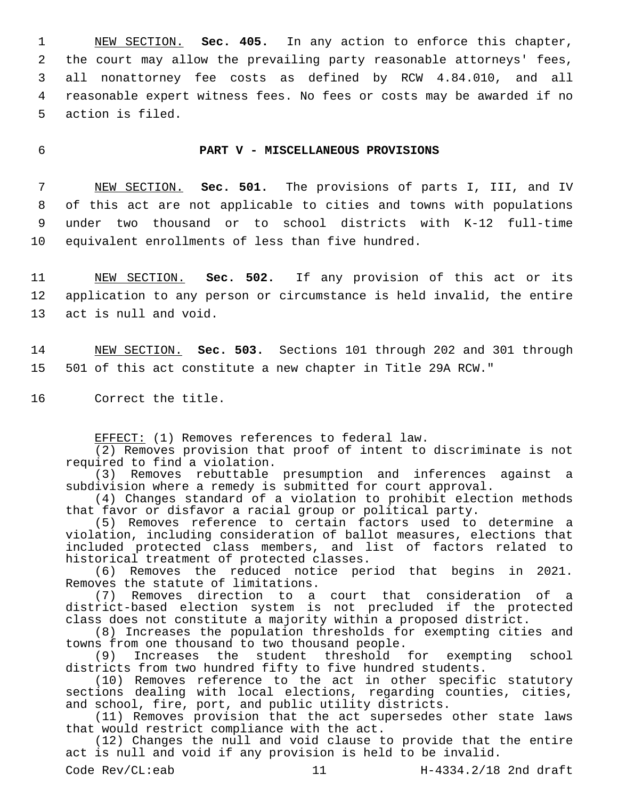NEW SECTION. **Sec. 405.** In any action to enforce this chapter, the court may allow the prevailing party reasonable attorneys' fees, all nonattorney fee costs as defined by RCW 4.84.010, and all reasonable expert witness fees. No fees or costs may be awarded if no action is filed.

### 6 **PART V - MISCELLANEOUS PROVISIONS**

 NEW SECTION. **Sec. 501.** The provisions of parts I, III, and IV of this act are not applicable to cities and towns with populations under two thousand or to school districts with K-12 full-time equivalent enrollments of less than five hundred.

11 NEW SECTION. **Sec. 502.** If any provision of this act or its 12 application to any person or circumstance is held invalid, the entire 13 act is null and void.

14 NEW SECTION. **Sec. 503.** Sections 101 through 202 and 301 through 15 501 of this act constitute a new chapter in Title 29A RCW."

16 Correct the title.

EFFECT: (1) Removes references to federal law.

(2) Removes provision that proof of intent to discriminate is not required to find a violation.

(3) Removes rebuttable presumption and inferences against a subdivision where a remedy is submitted for court approval.

(4) Changes standard of a violation to prohibit election methods that favor or disfavor a racial group or political party.

(5) Removes reference to certain factors used to determine a violation, including consideration of ballot measures, elections that included protected class members, and list of factors related to historical treatment of protected classes.

(6) Removes the reduced notice period that begins in 2021. Removes the statute of limitations.

(7) Removes direction to a court that consideration of a district-based election system is not precluded if the protected class does not constitute a majority within a proposed district.

(8) Increases the population thresholds for exempting cities and towns from one thousand to two thousand people.

(9) Increases the student threshold for exempting school districts from two hundred fifty to five hundred students.

(10) Removes reference to the act in other specific statutory sections dealing with local elections, regarding counties, cities, and school, fire, port, and public utility districts.

(11) Removes provision that the act supersedes other state laws that would restrict compliance with the act.

(12) Changes the null and void clause to provide that the entire act is null and void if any provision is held to be invalid.

Code Rev/CL:eab 11 H-4334.2/18 2nd draft